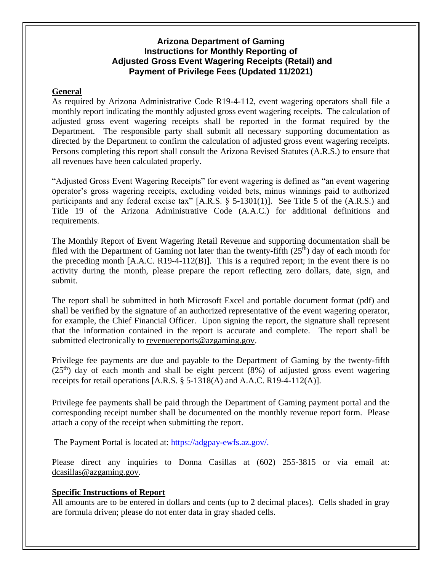# **Arizona Department of Gaming Instructions for Monthly Reporting of Adjusted Gross Event Wagering Receipts (Retail) and Payment of Privilege Fees (Updated 11/2021)**

### **General**

As required by Arizona Administrative Code R19-4-112, event wagering operators shall file a monthly report indicating the monthly adjusted gross event wagering receipts. The calculation of adjusted gross event wagering receipts shall be reported in the format required by the Department. The responsible party shall submit all necessary supporting documentation as directed by the Department to confirm the calculation of adjusted gross event wagering receipts. Persons completing this report shall consult the Arizona Revised Statutes (A.R.S.) to ensure that all revenues have been calculated properly.

"Adjusted Gross Event Wagering Receipts" for event wagering is defined as "an event wagering operator's gross wagering receipts, excluding voided bets, minus winnings paid to authorized participants and any federal excise tax" [A.R.S. § 5-1301(1)]. See Title 5 of the (A.R.S.) and Title 19 of the Arizona Administrative Code (A.A.C.) for additional definitions and requirements.

The Monthly Report of Event Wagering Retail Revenue and supporting documentation shall be filed with the Department of Gaming not later than the twenty-fifth  $(25<sup>th</sup>)$  day of each month for the preceding month [A.A.C. R19-4-112(B)]. This is a required report; in the event there is no activity during the month, please prepare the report reflecting zero dollars, date, sign, and submit.

The report shall be submitted in both Microsoft Excel and portable document format (pdf) and shall be verified by the signature of an authorized representative of the event wagering operator, for example, the Chief Financial Officer. Upon signing the report, the signature shall represent that the information contained in the report is accurate and complete. The report shall be submitted electronically to [revenuereports@azgaming.gov.](mailto:revenuereports@azgaming.gov)

Privilege fee payments are due and payable to the Department of Gaming by the twenty-fifth  $(25<sup>th</sup>)$  day of each month and shall be eight percent (8%) of adjusted gross event wagering receipts for retail operations  $[A.R.S. \S 5-1318(A)$  and  $A.A.C. R19-4-112(A)].$ 

Privilege fee payments shall be paid through the Department of Gaming payment portal and the corresponding receipt number shall be documented on the monthly revenue report form. Please attach a copy of the receipt when submitting the report.

The Payment Portal is located at: https://adgpay-ewfs.az.gov/.

Please direct any inquiries to Donna Casillas at (602) 255-3815 or via email at: [dcasillas@azgaming.gov.](mailto:dcasillas@azgaming.gov)

### **Specific Instructions of Report**

All amounts are to be entered in dollars and cents (up to 2 decimal places). Cells shaded in gray are formula driven; please do not enter data in gray shaded cells.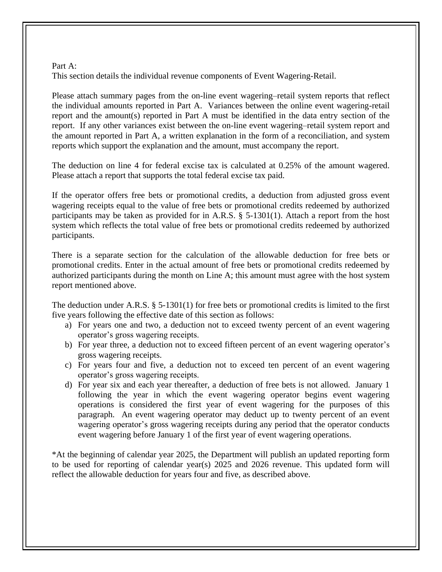#### Part A: This section details the individual revenue components of Event Wagering-Retail.

Please attach summary pages from the on-line event wagering–retail system reports that reflect the individual amounts reported in Part A. Variances between the online event wagering-retail report and the amount(s) reported in Part A must be identified in the data entry section of the report. If any other variances exist between the on-line event wagering–retail system report and the amount reported in Part A, a written explanation in the form of a reconciliation, and system reports which support the explanation and the amount, must accompany the report.

The deduction on line 4 for federal excise tax is calculated at 0.25% of the amount wagered. Please attach a report that supports the total federal excise tax paid.

If the operator offers free bets or promotional credits, a deduction from adjusted gross event wagering receipts equal to the value of free bets or promotional credits redeemed by authorized participants may be taken as provided for in A.R.S. § 5-1301(1). Attach a report from the host system which reflects the total value of free bets or promotional credits redeemed by authorized participants.

There is a separate section for the calculation of the allowable deduction for free bets or promotional credits. Enter in the actual amount of free bets or promotional credits redeemed by authorized participants during the month on Line A; this amount must agree with the host system report mentioned above.

The deduction under A.R.S. § 5-1301(1) for free bets or promotional credits is limited to the first five years following the effective date of this section as follows:

- a) For years one and two, a deduction not to exceed twenty percent of an event wagering operator's gross wagering receipts.
- b) For year three, a deduction not to exceed fifteen percent of an event wagering operator's gross wagering receipts.
- c) For years four and five, a deduction not to exceed ten percent of an event wagering operator's gross wagering receipts.
- d) For year six and each year thereafter, a deduction of free bets is not allowed. January 1 following the year in which the event wagering operator begins event wagering operations is considered the first year of event wagering for the purposes of this paragraph. An event wagering operator may deduct up to twenty percent of an event wagering operator's gross wagering receipts during any period that the operator conducts event wagering before January 1 of the first year of event wagering operations.

\*At the beginning of calendar year 2025, the Department will publish an updated reporting form to be used for reporting of calendar year(s) 2025 and 2026 revenue. This updated form will reflect the allowable deduction for years four and five, as described above.